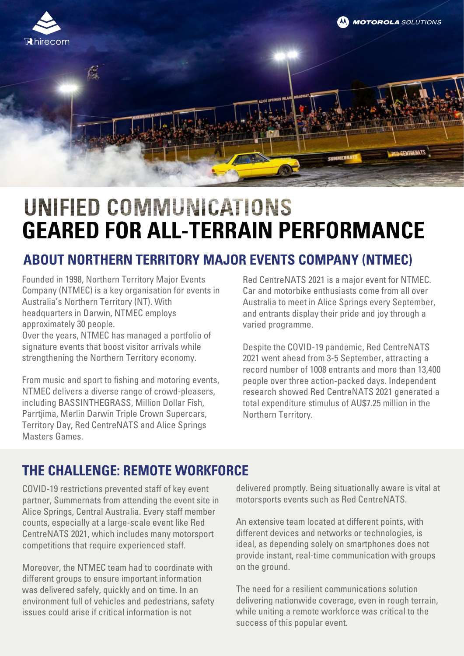

# UNIFIED COMMUNICATIONS **GEARED FOR ALL-TERRAIN PERFORMANCE**

### **ABOUT NORTHERN TERRITORY MAJOR EVENTS COMPANY (NTMEC)**

Founded in 1998, Northern Territory Major Events Company (NTMEC) is a key organisation for events in Australia's Northern Territory (NT). With headquarters in Darwin, NTMEC employs approximately 30 people.

Over the years, NTMEC has managed a portfolio of signature events that boost visitor arrivals while strengthening the Northern Territory economy.

From music and sport to fishing and motoring events, NTMEC delivers a diverse range of crowd-pleasers, including BASSINTHEGRASS, Million Dollar Fish, Parrtjima, Merlin Darwin Triple Crown Supercars, Territory Day, Red CentreNATS and Alice Springs Masters Games.

Red CentreNATS 2021 is a major event for NTMEC. Car and motorbike enthusiasts come from all over Australia to meet in Alice Springs every September, and entrants display their pride and joy through a varied programme.

Despite the COVID-19 pandemic, Red CentreNATS 2021 went ahead from 3-5 September, attracting a record number of 1008 entrants and more than 13,400 people over three action-packed days. Independent research showed Red CentreNATS 2021 generated a total expenditure stimulus of AU\$7.25 million in the Northern Territory.

### **THE CHALLENGE: REMOTE WORKFORCE**

COVID-19 restrictions prevented staff of key event partner, Summernats from attending the event site in Alice Springs, Central Australia. Every staff member counts, especially at a large-scale event like Red CentreNATS 2021, which includes many motorsport competitions that require experienced staff.

Moreover, the NTMEC team had to coordinate with different groups to ensure important information was delivered safely, quickly and on time. In an environment full of vehicles and pedestrians, safety issues could arise if critical information is not

delivered promptly. Being situationally aware is vital at motorsports events such as Red CentreNATS.

An extensive team located at different points, with different devices and networks or technologies, is ideal, as depending solely on smartphones does not provide instant, real-time communication with groups on the ground.

The need for a resilient communications solution delivering nationwide coverage, even in rough terrain, while uniting a remote workforce was critical to the success of this popular event.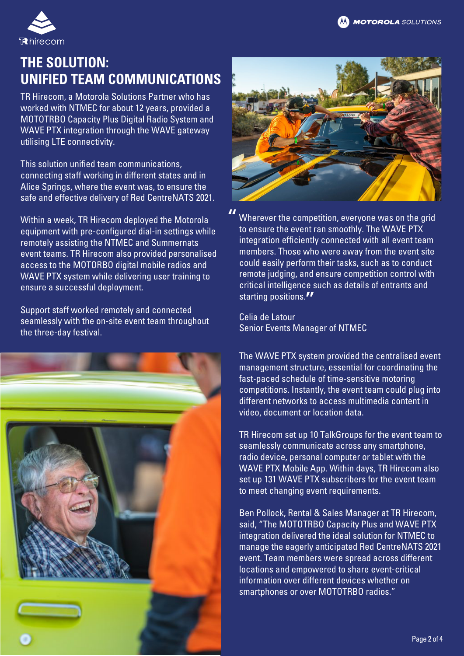

## **THE SOLUTION: UNIFIED TEAM COMMUNICATIONS**

TR Hirecom, a Motorola Solutions Partner who has worked with NTMEC for about 12 years, provided a MOTOTRBO Capacity Plus Digital Radio System and WAVE PTX integration through the WAVE gateway utilising LTE connectivity.

This solution unified team communications, connecting staff working in different states and in Alice Springs, where the event was, to ensure the safe and effective delivery of Red CentreNATS 2021.

Within a week, TR Hirecom deployed the Motorola equipment with pre-configured dial-in settings while remotely assisting the NTMEC and Summernats event teams. TR Hirecom also provided personalised access to the MOTORBO digital mobile radios and WAVE PTX system while delivering user training to ensure a successful deployment.

Support staff worked remotely and connected seamlessly with the on-site event team throughout the three-day festival.





Wherever the competition, everyone was on the grid to ensure the event ran smoothly. The WAVE PTX integration efficiently connected with all event team members. Those who were away from the event site could easily perform their tasks, such as to conduct remote judging, and ensure competition control with critical intelligence such as details of entrants and starting positions."<br>-"

Celia de Latour Senior Events Manager of NTMEC

The WAVE PTX system provided the centralised event management structure, essential for coordinating the fast-paced schedule of time-sensitive motoring competitions. Instantly, the event team could plug into different networks to access multimedia content in video, document or location data.

TR Hirecom set up 10 TalkGroups for the event team to seamlessly communicate across any smartphone, radio device, personal computer or tablet with the WAVE PTX Mobile App. Within days, TR Hirecom also set up 131 WAVE PTX subscribers for the event team to meet changing event requirements.

Ben Pollock, Rental & Sales Manager at TR Hirecom, said, "The MOTOTRBO Capacity Plus and WAVE PTX integration delivered the ideal solution for NTMEC to manage the eagerly anticipated Red CentreNATS 2021 event. Team members were spread across different locations and empowered to share event-critical information over different devices whether on smartphones or over MOTOTRBO radios."